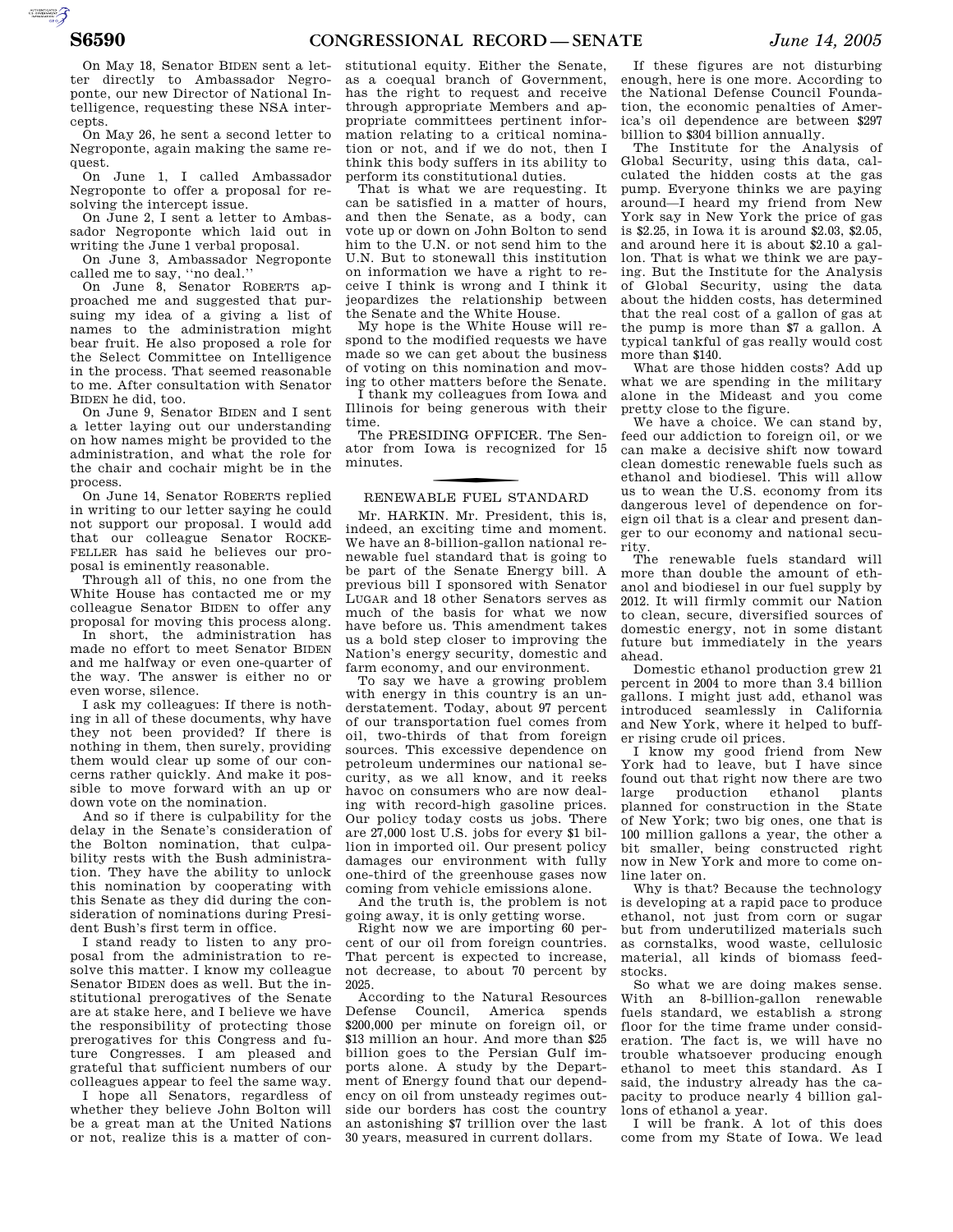AUTOROTOMICALE CONTINUES

On May 18, Senator BIDEN sent a letter directly to Ambassador Negroponte, our new Director of National Intelligence, requesting these NSA intercepts.

On May 26, he sent a second letter to Negroponte, again making the same request.

On June 1, I called Ambassador Negroponte to offer a proposal for resolving the intercept issue.

On June 2, I sent a letter to Ambassador Negroponte which laid out in writing the June 1 verbal proposal.

On June 3, Ambassador Negroponte called me to say, ''no deal.''

On June 8, Senator ROBERTS approached me and suggested that pursuing my idea of a giving a list of names to the administration might bear fruit. He also proposed a role for the Select Committee on Intelligence in the process. That seemed reasonable to me. After consultation with Senator BIDEN he did, too.

On June 9, Senator BIDEN and I sent a letter laying out our understanding on how names might be provided to the administration, and what the role for the chair and cochair might be in the process.

On June 14, Senator ROBERTS replied in writing to our letter saying he could not support our proposal. I would add that our colleague Senator ROCKE-FELLER has said he believes our proposal is eminently reasonable.

Through all of this, no one from the White House has contacted me or my colleague Senator BIDEN to offer any proposal for moving this process along.

In short, the administration has made no effort to meet Senator BIDEN and me halfway or even one-quarter of the way. The answer is either no or even worse, silence.

I ask my colleagues: If there is nothing in all of these documents, why have they not been provided? If there is nothing in them, then surely, providing them would clear up some of our concerns rather quickly. And make it possible to move forward with an up or down vote on the nomination.

And so if there is culpability for the delay in the Senate's consideration of the Bolton nomination, that culpability rests with the Bush administration. They have the ability to unlock this nomination by cooperating with this Senate as they did during the consideration of nominations during President Bush's first term in office.

I stand ready to listen to any proposal from the administration to resolve this matter. I know my colleague Senator BIDEN does as well. But the institutional prerogatives of the Senate are at stake here, and I believe we have the responsibility of protecting those prerogatives for this Congress and future Congresses. I am pleased and grateful that sufficient numbers of our colleagues appear to feel the same way.

I hope all Senators, regardless of whether they believe John Bolton will be a great man at the United Nations or not, realize this is a matter of con-

stitutional equity. Either the Senate, as a coequal branch of Government, has the right to request and receive through appropriate Members and appropriate committees pertinent information relating to a critical nomination or not, and if we do not, then I think this body suffers in its ability to perform its constitutional duties.

That is what we are requesting. It can be satisfied in a matter of hours, and then the Senate, as a body, can vote up or down on John Bolton to send him to the U.N. or not send him to the U.N. But to stonewall this institution on information we have a right to receive I think is wrong and I think it jeopardizes the relationship between the Senate and the White House.

My hope is the White House will respond to the modified requests we have made so we can get about the business of voting on this nomination and moving to other matters before the Senate.

I thank my colleagues from Iowa and Illinois for being generous with their time.

The PRESIDING OFFICER. The Senator from Iowa is recognized for 15 minutes.

# f RENEWABLE FUEL STANDARD

Mr. HARKIN. Mr. President, this is, indeed, an exciting time and moment. We have an 8-billion-gallon national renewable fuel standard that is going to be part of the Senate Energy bill. A previous bill I sponsored with Senator LUGAR and 18 other Senators serves as much of the basis for what we now have before us. This amendment takes us a bold step closer to improving the Nation's energy security, domestic and farm economy, and our environment.

To say we have a growing problem with energy in this country is an understatement. Today, about 97 percent of our transportation fuel comes from oil, two-thirds of that from foreign sources. This excessive dependence on petroleum undermines our national security, as we all know, and it reeks havoc on consumers who are now dealing with record-high gasoline prices. Our policy today costs us jobs. There are 27,000 lost U.S. jobs for every \$1 billion in imported oil. Our present policy damages our environment with fully one-third of the greenhouse gases now coming from vehicle emissions alone.

And the truth is, the problem is not going away, it is only getting worse.

Right now we are importing 60 percent of our oil from foreign countries. That percent is expected to increase, not decrease, to about 70 percent by 2025.

According to the Natural Resources Defense Council, America spends \$200,000 per minute on foreign oil, or \$13 million an hour. And more than \$25 billion goes to the Persian Gulf imports alone. A study by the Department of Energy found that our dependency on oil from unsteady regimes outside our borders has cost the country an astonishing \$7 trillion over the last 30 years, measured in current dollars.

If these figures are not disturbing enough, here is one more. According to the National Defense Council Foundation, the economic penalties of America's oil dependence are between \$297 billion to \$304 billion annually.

The Institute for the Analysis of Global Security, using this data, calculated the hidden costs at the gas pump. Everyone thinks we are paying around—I heard my friend from New York say in New York the price of gas is \$2.25, in Iowa it is around \$2.03, \$2.05, and around here it is about \$2.10 a gallon. That is what we think we are paying. But the Institute for the Analysis of Global Security, using the data about the hidden costs, has determined that the real cost of a gallon of gas at the pump is more than \$7 a gallon. A typical tankful of gas really would cost more than \$140.

What are those hidden costs? Add up what we are spending in the military alone in the Mideast and you come pretty close to the figure.

We have a choice. We can stand by, feed our addiction to foreign oil, or we can make a decisive shift now toward clean domestic renewable fuels such as ethanol and biodiesel. This will allow us to wean the U.S. economy from its dangerous level of dependence on foreign oil that is a clear and present danger to our economy and national security.

The renewable fuels standard will more than double the amount of ethanol and biodiesel in our fuel supply by 2012. It will firmly commit our Nation to clean, secure, diversified sources of domestic energy, not in some distant future but immediately in the years ahead.

Domestic ethanol production grew 21 percent in 2004 to more than 3.4 billion gallons. I might just add, ethanol was introduced seamlessly in California and New York, where it helped to buffer rising crude oil prices.

I know my good friend from New York had to leave, but I have since found out that right now there are two<br>large production ethanol plants production ethanol planned for construction in the State of New York; two big ones, one that is 100 million gallons a year, the other a bit smaller, being constructed right now in New York and more to come online later on.

Why is that? Because the technology is developing at a rapid pace to produce ethanol, not just from corn or sugar but from underutilized materials such as cornstalks, wood waste, cellulosic material, all kinds of biomass feedstocks.

So what we are doing makes sense. With an 8-billion-gallon renewable fuels standard, we establish a strong floor for the time frame under consideration. The fact is, we will have no trouble whatsoever producing enough ethanol to meet this standard. As I said, the industry already has the capacity to produce nearly 4 billion gallons of ethanol a year.

I will be frank. A lot of this does come from my State of Iowa. We lead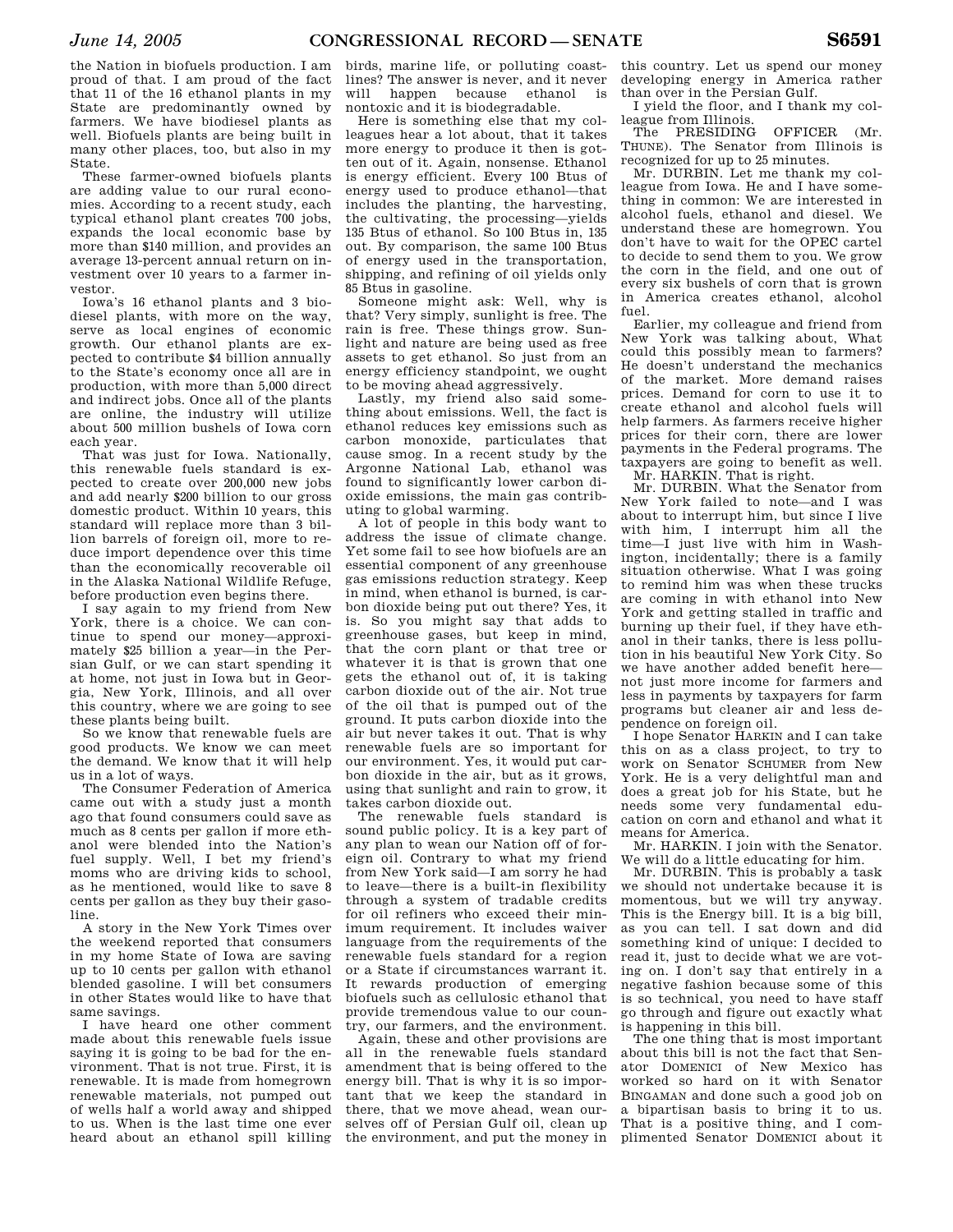the Nation in biofuels production. I am proud of that. I am proud of the fact that 11 of the 16 ethanol plants in my State are predominantly owned by farmers. We have biodiesel plants as well. Biofuels plants are being built in many other places, too, but also in my State.

These farmer-owned biofuels plants are adding value to our rural economies. According to a recent study, each typical ethanol plant creates 700 jobs, expands the local economic base by more than \$140 million, and provides an average 13-percent annual return on investment over 10 years to a farmer investor.

Iowa's 16 ethanol plants and 3 biodiesel plants, with more on the way, serve as local engines of economic growth. Our ethanol plants are expected to contribute \$4 billion annually to the State's economy once all are in production, with more than 5,000 direct and indirect jobs. Once all of the plants are online, the industry will utilize about 500 million bushels of Iowa corn each year.

That was just for Iowa. Nationally, this renewable fuels standard is expected to create over 200,000 new jobs and add nearly \$200 billion to our gross domestic product. Within 10 years, this standard will replace more than 3 billion barrels of foreign oil, more to reduce import dependence over this time than the economically recoverable oil in the Alaska National Wildlife Refuge, before production even begins there.

I say again to my friend from New York, there is a choice. We can continue to spend our money—approximately \$25 billion a year—in the Persian Gulf, or we can start spending it at home, not just in Iowa but in Georgia, New York, Illinois, and all over this country, where we are going to see these plants being built.

So we know that renewable fuels are good products. We know we can meet the demand. We know that it will help us in a lot of ways.

The Consumer Federation of America came out with a study just a month ago that found consumers could save as much as 8 cents per gallon if more ethanol were blended into the Nation's fuel supply. Well, I bet my friend's moms who are driving kids to school, as he mentioned, would like to save 8 cents per gallon as they buy their gasoline.

A story in the New York Times over the weekend reported that consumers in my home State of Iowa are saving up to 10 cents per gallon with ethanol blended gasoline. I will bet consumers in other States would like to have that same savings.

I have heard one other comment made about this renewable fuels issue saying it is going to be bad for the environment. That is not true. First, it is renewable. It is made from homegrown renewable materials, not pumped out of wells half a world away and shipped to us. When is the last time one ever heard about an ethanol spill killing

birds, marine life, or polluting coastlines? The answer is never, and it never will happen because ethanol is nontoxic and it is biodegradable.

Here is something else that my colleagues hear a lot about, that it takes more energy to produce it then is gotten out of it. Again, nonsense. Ethanol is energy efficient. Every 100 Btus of energy used to produce ethanol—that includes the planting, the harvesting, the cultivating, the processing—yields 135 Btus of ethanol. So 100 Btus in, 135 out. By comparison, the same 100 Btus of energy used in the transportation, shipping, and refining of oil yields only 85 Btus in gasoline.

Someone might ask: Well, why is that? Very simply, sunlight is free. The rain is free. These things grow. Sunlight and nature are being used as free assets to get ethanol. So just from an energy efficiency standpoint, we ought to be moving ahead aggressively.

Lastly, my friend also said something about emissions. Well, the fact is ethanol reduces key emissions such as carbon monoxide, particulates that cause smog. In a recent study by the Argonne National Lab, ethanol was found to significantly lower carbon dioxide emissions, the main gas contributing to global warming.

A lot of people in this body want to address the issue of climate change. Yet some fail to see how biofuels are an essential component of any greenhouse gas emissions reduction strategy. Keep in mind, when ethanol is burned, is carbon dioxide being put out there? Yes, it is. So you might say that adds to greenhouse gases, but keep in mind, that the corn plant or that tree or whatever it is that is grown that one gets the ethanol out of, it is taking carbon dioxide out of the air. Not true of the oil that is pumped out of the ground. It puts carbon dioxide into the air but never takes it out. That is why renewable fuels are so important for our environment. Yes, it would put carbon dioxide in the air, but as it grows, using that sunlight and rain to grow, it takes carbon dioxide out.

The renewable fuels standard is sound public policy. It is a key part of any plan to wean our Nation off of foreign oil. Contrary to what my friend from New York said—I am sorry he had to leave—there is a built-in flexibility through a system of tradable credits for oil refiners who exceed their minimum requirement. It includes waiver language from the requirements of the renewable fuels standard for a region or a State if circumstances warrant it. It rewards production of emerging biofuels such as cellulosic ethanol that provide tremendous value to our country, our farmers, and the environment.

Again, these and other provisions are all in the renewable fuels standard amendment that is being offered to the energy bill. That is why it is so important that we keep the standard in there, that we move ahead, wean ourselves off of Persian Gulf oil, clean up the environment, and put the money in

this country. Let us spend our money developing energy in America rather than over in the Persian Gulf.

I yield the floor, and I thank my colleague from Illinois.

The PRESIDING OFFICER (Mr. THUNE). The Senator from Illinois is recognized for up to 25 minutes.

Mr. DURBIN. Let me thank my colleague from Iowa. He and I have something in common: We are interested in alcohol fuels, ethanol and diesel. We understand these are homegrown. You don't have to wait for the OPEC cartel to decide to send them to you. We grow the corn in the field, and one out of every six bushels of corn that is grown in America creates ethanol, alcohol fuel.

Earlier, my colleague and friend from New York was talking about, What could this possibly mean to farmers? He doesn't understand the mechanics of the market. More demand raises prices. Demand for corn to use it to create ethanol and alcohol fuels will help farmers. As farmers receive higher prices for their corn, there are lower payments in the Federal programs. The taxpayers are going to benefit as well. Mr. HARKIN. That is right.

Mr. DURBIN. What the Senator from New York failed to note—and I was about to interrupt him, but since I live with him, I interrupt him all the time—I just live with him in Washington, incidentally; there is a family situation otherwise. What I was going to remind him was when these trucks are coming in with ethanol into New York and getting stalled in traffic and burning up their fuel, if they have ethanol in their tanks, there is less pollution in his beautiful New York City. So we have another added benefit here not just more income for farmers and less in payments by taxpayers for farm programs but cleaner air and less dependence on foreign oil.

I hope Senator HARKIN and I can take this on as a class project, to try to work on Senator SCHUMER from New York. He is a very delightful man and does a great job for his State, but he needs some very fundamental education on corn and ethanol and what it means for America.

Mr. HARKIN. I join with the Senator. We will do a little educating for him.

Mr. DURBIN. This is probably a task we should not undertake because it is momentous, but we will try anyway. This is the Energy bill. It is a big bill, as you can tell. I sat down and did something kind of unique: I decided to read it, just to decide what we are voting on. I don't say that entirely in a negative fashion because some of this is so technical, you need to have staff go through and figure out exactly what is happening in this bill.

The one thing that is most important about this bill is not the fact that Senator DOMENICI of New Mexico has worked so hard on it with Senator BINGAMAN and done such a good job on a bipartisan basis to bring it to us. That is a positive thing, and I complimented Senator DOMENICI about it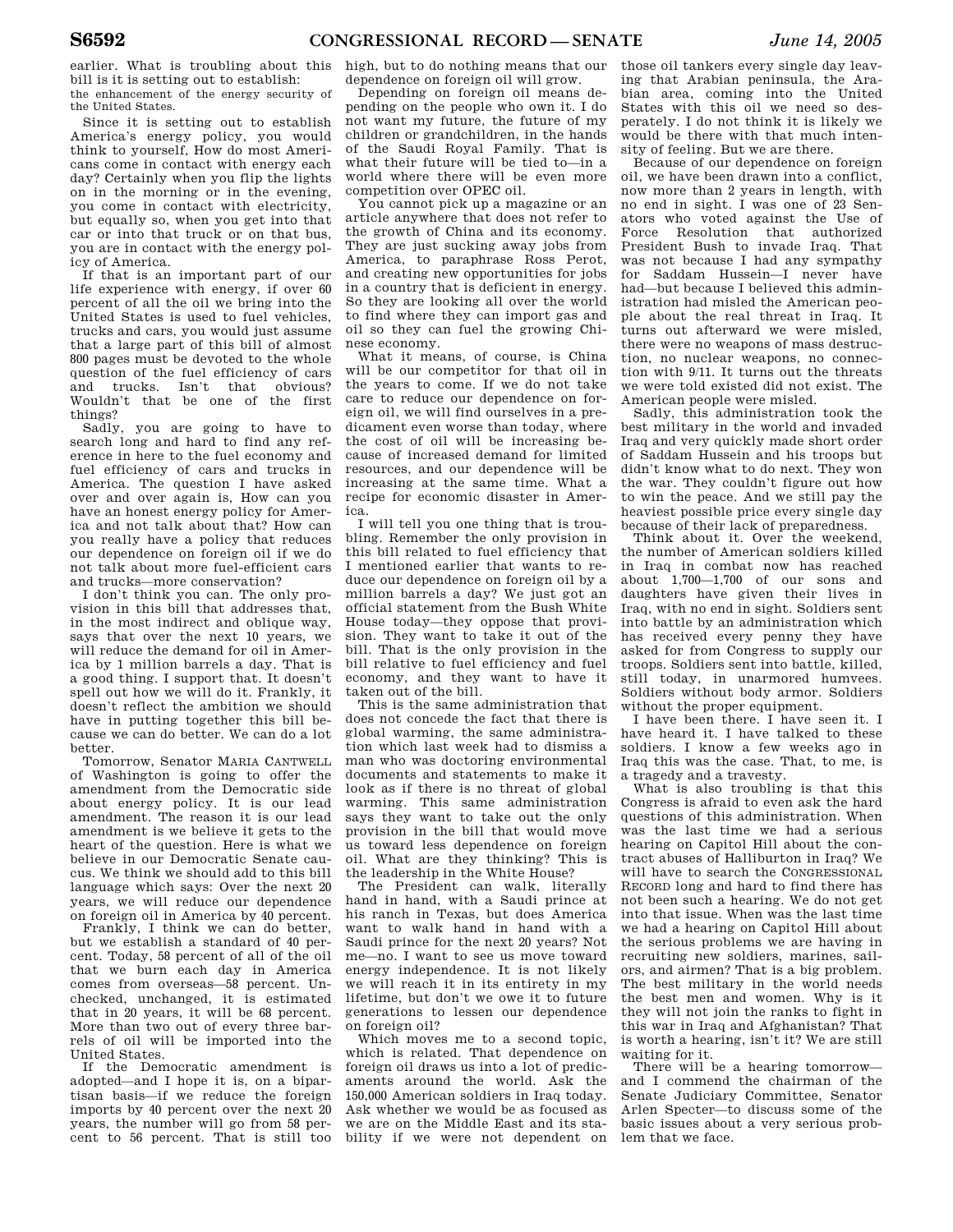earlier. What is troubling about this bill is it is setting out to establish: the enhancement of the energy security of the United States.

Since it is setting out to establish America's energy policy, you would think to yourself, How do most Americans come in contact with energy each day? Certainly when you flip the lights on in the morning or in the evening, you come in contact with electricity, but equally so, when you get into that car or into that truck or on that bus, you are in contact with the energy policy of America.

If that is an important part of our life experience with energy, if over 60 percent of all the oil we bring into the United States is used to fuel vehicles, trucks and cars, you would just assume that a large part of this bill of almost 800 pages must be devoted to the whole question of the fuel efficiency of cars<br>and trucks Isp't that obvious? and trucks. Isn't that Wouldn't that be one of the first things?

Sadly, you are going to have to search long and hard to find any reference in here to the fuel economy and fuel efficiency of cars and trucks in America. The question I have asked over and over again is, How can you have an honest energy policy for America and not talk about that? How can you really have a policy that reduces our dependence on foreign oil if we do not talk about more fuel-efficient cars and trucks—more conservation?

I don't think you can. The only provision in this bill that addresses that, in the most indirect and oblique way, says that over the next 10 years, we will reduce the demand for oil in America by 1 million barrels a day. That is a good thing. I support that. It doesn't spell out how we will do it. Frankly, it doesn't reflect the ambition we should have in putting together this bill because we can do better. We can do a lot better.

Tomorrow, Senator MARIA CANTWELL of Washington is going to offer the amendment from the Democratic side about energy policy. It is our lead amendment. The reason it is our lead amendment is we believe it gets to the heart of the question. Here is what we believe in our Democratic Senate caucus. We think we should add to this bill language which says: Over the next 20 years, we will reduce our dependence on foreign oil in America by 40 percent.

Frankly, I think we can do better, but we establish a standard of 40 percent. Today, 58 percent of all of the oil that we burn each day in America comes from overseas—58 percent. Unchecked, unchanged, it is estimated that in 20 years, it will be 68 percent. More than two out of every three barrels of oil will be imported into the United States.

If the Democratic amendment is adopted—and I hope it is, on a bipartisan basis—if we reduce the foreign imports by 40 percent over the next 20 years, the number will go from 58 percent to 56 percent. That is still too

high, but to do nothing means that our dependence on foreign oil will grow.

Depending on foreign oil means depending on the people who own it. I do not want my future, the future of my children or grandchildren, in the hands of the Saudi Royal Family. That is what their future will be tied to—in a world where there will be even more competition over OPEC oil.

You cannot pick up a magazine or an article anywhere that does not refer to the growth of China and its economy. They are just sucking away jobs from America, to paraphrase Ross Perot, and creating new opportunities for jobs in a country that is deficient in energy. So they are looking all over the world to find where they can import gas and oil so they can fuel the growing Chinese economy.

What it means, of course, is China will be our competitor for that oil in the years to come. If we do not take care to reduce our dependence on foreign oil, we will find ourselves in a predicament even worse than today, where the cost of oil will be increasing because of increased demand for limited resources, and our dependence will be increasing at the same time. What a recipe for economic disaster in America.

I will tell you one thing that is troubling. Remember the only provision in this bill related to fuel efficiency that I mentioned earlier that wants to reduce our dependence on foreign oil by a million barrels a day? We just got an official statement from the Bush White House today—they oppose that provision. They want to take it out of the bill. That is the only provision in the bill relative to fuel efficiency and fuel economy, and they want to have it taken out of the bill.

This is the same administration that does not concede the fact that there is global warming, the same administration which last week had to dismiss a man who was doctoring environmental documents and statements to make it look as if there is no threat of global warming. This same administration says they want to take out the only provision in the bill that would move us toward less dependence on foreign oil. What are they thinking? This is the leadership in the White House?

The President can walk, literally hand in hand, with a Saudi prince at his ranch in Texas, but does America want to walk hand in hand with a Saudi prince for the next 20 years? Not me—no. I want to see us move toward energy independence. It is not likely we will reach it in its entirety in my lifetime, but don't we owe it to future generations to lessen our dependence on foreign oil?

Which moves me to a second topic, which is related. That dependence on foreign oil draws us into a lot of predicaments around the world. Ask the 150,000 American soldiers in Iraq today. Ask whether we would be as focused as we are on the Middle East and its stability if we were not dependent on

those oil tankers every single day leaving that Arabian peninsula, the Arabian area, coming into the United States with this oil we need so desperately. I do not think it is likely we would be there with that much intensity of feeling. But we are there.

Because of our dependence on foreign oil, we have been drawn into a conflict, now more than 2 years in length, with no end in sight. I was one of 23 Senators who voted against the Use of Force Resolution that authorized President Bush to invade Iraq. That was not because I had any sympathy for Saddam Hussein—I never have had—but because I believed this administration had misled the American people about the real threat in Iraq. It turns out afterward we were misled, there were no weapons of mass destruction, no nuclear weapons, no connection with 9/11. It turns out the threats we were told existed did not exist. The American people were misled.

Sadly, this administration took the best military in the world and invaded Iraq and very quickly made short order of Saddam Hussein and his troops but didn't know what to do next. They won the war. They couldn't figure out how to win the peace. And we still pay the heaviest possible price every single day because of their lack of preparedness.

Think about it. Over the weekend, the number of American soldiers killed in Iraq in combat now has reached about 1,700—1,700 of our sons and daughters have given their lives in Iraq, with no end in sight. Soldiers sent into battle by an administration which has received every penny they have asked for from Congress to supply our troops. Soldiers sent into battle, killed, still today, in unarmored humvees. Soldiers without body armor. Soldiers without the proper equipment.

I have been there. I have seen it. I have heard it. I have talked to these soldiers. I know a few weeks ago in Iraq this was the case. That, to me, is a tragedy and a travesty.

What is also troubling is that this Congress is afraid to even ask the hard questions of this administration. When was the last time we had a serious hearing on Capitol Hill about the contract abuses of Halliburton in Iraq? We will have to search the CONGRESSIONAL RECORD long and hard to find there has not been such a hearing. We do not get into that issue. When was the last time we had a hearing on Capitol Hill about the serious problems we are having in recruiting new soldiers, marines, sailors, and airmen? That is a big problem. The best military in the world needs the best men and women. Why is it they will not join the ranks to fight in this war in Iraq and Afghanistan? That is worth a hearing, isn't it? We are still waiting for it.

There will be a hearing tomorrow and I commend the chairman of the Senate Judiciary Committee, Senator Arlen Specter—to discuss some of the basic issues about a very serious problem that we face.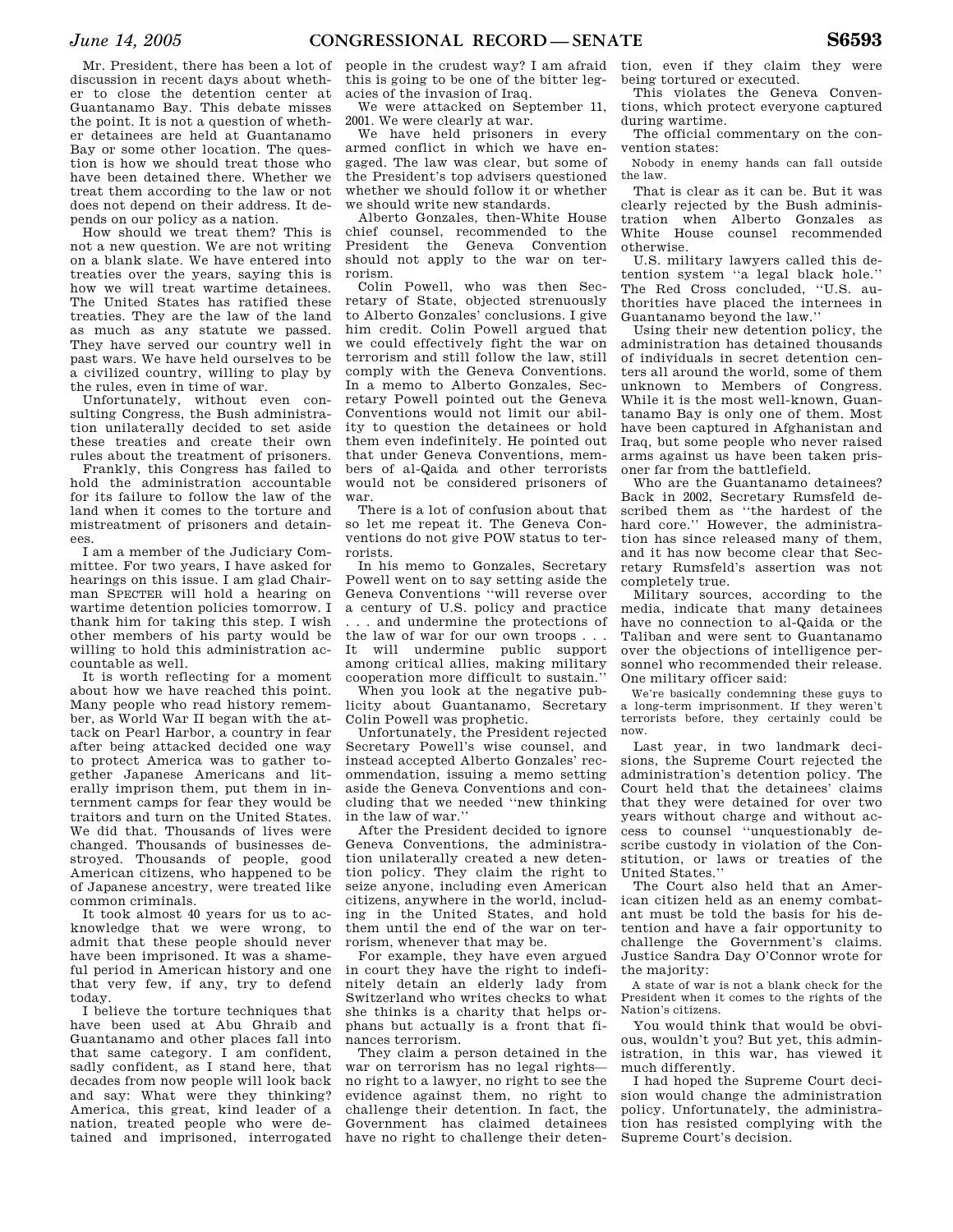Mr. President, there has been a lot of discussion in recent days about whether to close the detention center at Guantanamo Bay. This debate misses the point. It is not a question of whether detainees are held at Guantanamo Bay or some other location. The question is how we should treat those who have been detained there. Whether we treat them according to the law or not does not depend on their address. It depends on our policy as a nation.

How should we treat them? This is not a new question. We are not writing on a blank slate. We have entered into treaties over the years, saying this is how we will treat wartime detainees. The United States has ratified these treaties. They are the law of the land as much as any statute we passed. They have served our country well in past wars. We have held ourselves to be a civilized country, willing to play by the rules, even in time of war.

Unfortunately, without even consulting Congress, the Bush administration unilaterally decided to set aside these treaties and create their own rules about the treatment of prisoners.

Frankly, this Congress has failed to hold the administration accountable for its failure to follow the law of the land when it comes to the torture and mistreatment of prisoners and detainees.

I am a member of the Judiciary Committee. For two years, I have asked for hearings on this issue. I am glad Chairman SPECTER will hold a hearing on wartime detention policies tomorrow. I thank him for taking this step. I wish other members of his party would be willing to hold this administration accountable as well.

It is worth reflecting for a moment about how we have reached this point. Many people who read history remember, as World War II began with the attack on Pearl Harbor, a country in fear after being attacked decided one way to protect America was to gather together Japanese Americans and literally imprison them, put them in internment camps for fear they would be traitors and turn on the United States. We did that. Thousands of lives were changed. Thousands of businesses destroyed. Thousands of people, good American citizens, who happened to be of Japanese ancestry, were treated like common criminals.

It took almost 40 years for us to acknowledge that we were wrong, to admit that these people should never have been imprisoned. It was a shameful period in American history and one that very few, if any, try to defend today.

I believe the torture techniques that have been used at Abu Ghraib and Guantanamo and other places fall into that same category. I am confident, sadly confident, as I stand here, that decades from now people will look back and say: What were they thinking? America, this great, kind leader of a nation, treated people who were detained and imprisoned, interrogated

people in the crudest way? I am afraid this is going to be one of the bitter legacies of the invasion of Iraq.

We were attacked on September 11, 2001. We were clearly at war.

We have held prisoners in every armed conflict in which we have engaged. The law was clear, but some of the President's top advisers questioned whether we should follow it or whether we should write new standards.

Alberto Gonzales, then-White House chief counsel, recommended to the President the Geneva Convention should not apply to the war on terrorism.

Colin Powell, who was then Secretary of State, objected strenuously to Alberto Gonzales' conclusions. I give him credit. Colin Powell argued that we could effectively fight the war on terrorism and still follow the law, still comply with the Geneva Conventions. In a memo to Alberto Gonzales, Secretary Powell pointed out the Geneva Conventions would not limit our ability to question the detainees or hold them even indefinitely. He pointed out that under Geneva Conventions, members of al-Qaida and other terrorists would not be considered prisoners of war.

There is a lot of confusion about that so let me repeat it. The Geneva Conventions do not give POW status to terrorists.

In his memo to Gonzales, Secretary Powell went on to say setting aside the Geneva Conventions ''will reverse over a century of U.S. policy and practice . and undermine the protections of the law of war for our own troops . . . It will undermine public support among critical allies, making military cooperation more difficult to sustain.''

When you look at the negative publicity about Guantanamo, Secretary Colin Powell was prophetic.

Unfortunately, the President rejected Secretary Powell's wise counsel, and instead accepted Alberto Gonzales' recommendation, issuing a memo setting aside the Geneva Conventions and concluding that we needed ''new thinking in the law of war.''

After the President decided to ignore Geneva Conventions, the administration unilaterally created a new detention policy. They claim the right to seize anyone, including even American citizens, anywhere in the world, including in the United States, and hold them until the end of the war on terrorism, whenever that may be.

For example, they have even argued in court they have the right to indefinitely detain an elderly lady from Switzerland who writes checks to what she thinks is a charity that helps orphans but actually is a front that finances terrorism.

They claim a person detained in the war on terrorism has no legal rights no right to a lawyer, no right to see the evidence against them, no right to challenge their detention. In fact, the Government has claimed detainees have no right to challenge their deten-

tion, even if they claim they were being tortured or executed.

This violates the Geneva Conventions, which protect everyone captured during wartime.

The official commentary on the convention states:

Nobody in enemy hands can fall outside the law.

That is clear as it can be. But it was clearly rejected by the Bush administration when Alberto Gonzales as White House counsel recommended otherwise.

U.S. military lawyers called this detention system ''a legal black hole.'' The Red Cross concluded, ''U.S. authorities have placed the internees in Guantanamo beyond the law.''

Using their new detention policy, the administration has detained thousands of individuals in secret detention centers all around the world, some of them unknown to Members of Congress. While it is the most well-known, Guantanamo Bay is only one of them. Most have been captured in Afghanistan and Iraq, but some people who never raised arms against us have been taken prisoner far from the battlefield.

Who are the Guantanamo detainees? Back in 2002, Secretary Rumsfeld described them as ''the hardest of the hard core.'' However, the administration has since released many of them, and it has now become clear that Secretary Rumsfeld's assertion was not completely true.

Military sources, according to the media, indicate that many detainees have no connection to al-Qaida or the Taliban and were sent to Guantanamo over the objections of intelligence personnel who recommended their release. One military officer said:

We're basically condemning these guys to a long-term imprisonment. If they weren't terrorists before, they certainly could be now.

Last year, in two landmark decisions, the Supreme Court rejected the administration's detention policy. The Court held that the detainees' claims that they were detained for over two years without charge and without access to counsel ''unquestionably describe custody in violation of the Constitution, or laws or treaties of the United States.''

The Court also held that an American citizen held as an enemy combatant must be told the basis for his detention and have a fair opportunity to challenge the Government's claims. Justice Sandra Day O'Connor wrote for the majority:

A state of war is not a blank check for the President when it comes to the rights of the Nation's citizens.

You would think that would be obvious, wouldn't you? But yet, this administration, in this war, has viewed it much differently.

I had hoped the Supreme Court decision would change the administration policy. Unfortunately, the administration has resisted complying with the Supreme Court's decision.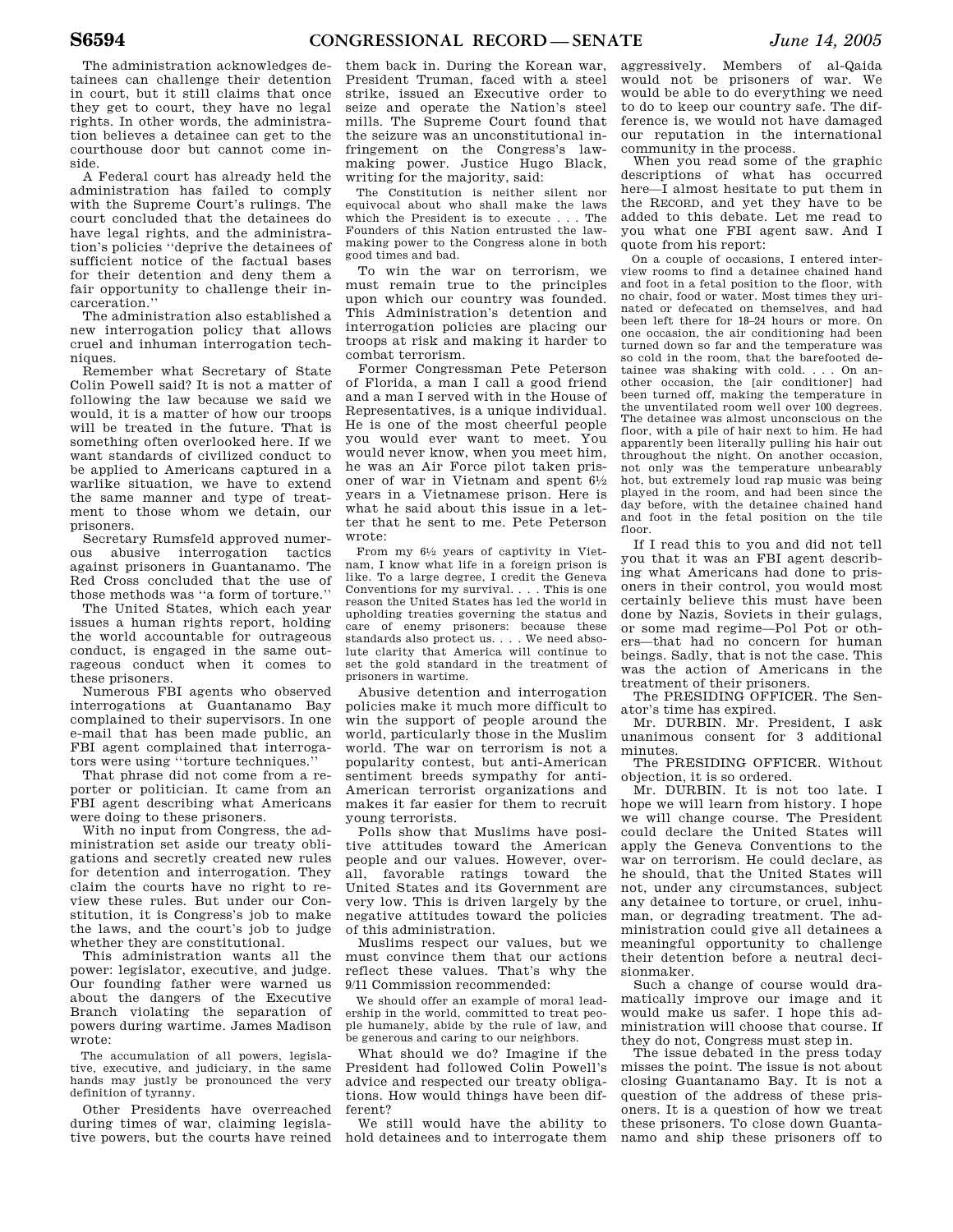The administration acknowledges detainees can challenge their detention in court, but it still claims that once they get to court, they have no legal rights. In other words, the administration believes a detainee can get to the courthouse door but cannot come inside.

A Federal court has already held the administration has failed to comply with the Supreme Court's rulings. The court concluded that the detainees do have legal rights, and the administration's policies ''deprive the detainees of sufficient notice of the factual bases for their detention and deny them a fair opportunity to challenge their incarceration.''

The administration also established a new interrogation policy that allows cruel and inhuman interrogation techniques.

Remember what Secretary of State Colin Powell said? It is not a matter of following the law because we said we would, it is a matter of how our troops will be treated in the future. That is something often overlooked here. If we want standards of civilized conduct to be applied to Americans captured in a warlike situation, we have to extend the same manner and type of treatment to those whom we detain, our prisoners.

Secretary Rumsfeld approved numerous abusive interrogation tactics against prisoners in Guantanamo. The Red Cross concluded that the use of those methods was ''a form of torture.''

The United States, which each year issues a human rights report, holding the world accountable for outrageous conduct, is engaged in the same outrageous conduct when it comes to these prisoners.

Numerous FBI agents who observed interrogations at Guantanamo Bay complained to their supervisors. In one e-mail that has been made public, an FBI agent complained that interrogators were using ''torture techniques.''

That phrase did not come from a reporter or politician. It came from an FBI agent describing what Americans were doing to these prisoners.

With no input from Congress, the administration set aside our treaty obligations and secretly created new rules for detention and interrogation. They claim the courts have no right to review these rules. But under our Constitution, it is Congress's job to make the laws, and the court's job to judge whether they are constitutional.

This administration wants all the power: legislator, executive, and judge. Our founding father were warned us about the dangers of the Executive Branch violating the separation of powers during wartime. James Madison wrote:

The accumulation of all powers, legislative, executive, and judiciary, in the same hands may justly be pronounced the very definition of tyranny.

Other Presidents have overreached during times of war, claiming legislative powers, but the courts have reined

them back in. During the Korean war, President Truman, faced with a steel strike, issued an Executive order to seize and operate the Nation's steel mills. The Supreme Court found that the seizure was an unconstitutional infringement on the Congress's lawmaking power. Justice Hugo Black, writing for the majority, said:

The Constitution is neither silent nor equivocal about who shall make the laws which the President is to execute . . . The Founders of this Nation entrusted the lawmaking power to the Congress alone in both good times and bad.

To win the war on terrorism, we must remain true to the principles upon which our country was founded. This Administration's detention and interrogation policies are placing our troops at risk and making it harder to combat terrorism.

Former Congressman Pete Peterson of Florida, a man I call a good friend and a man I served with in the House of Representatives, is a unique individual. He is one of the most cheerful people you would ever want to meet. You would never know, when you meet him, he was an Air Force pilot taken prisoner of war in Vietnam and spent 61⁄2 years in a Vietnamese prison. Here is what he said about this issue in a letter that he sent to me. Pete Peterson wrote:

From my  $6\frac{1}{2}$  years of captivity in Vietnam, I know what life in a foreign prison is like. To a large degree, I credit the Geneva Conventions for my survival. . . . This is one reason the United States has led the world in upholding treaties governing the status and care of enemy prisoners: because these standards also protect us. . . . We need absolute clarity that America will continue to set the gold standard in the treatment of prisoners in wartime.

Abusive detention and interrogation policies make it much more difficult to win the support of people around the world, particularly those in the Muslim world. The war on terrorism is not a popularity contest, but anti-American sentiment breeds sympathy for anti-American terrorist organizations and makes it far easier for them to recruit young terrorists.

Polls show that Muslims have positive attitudes toward the American people and our values. However, overall, favorable ratings toward the United States and its Government are very low. This is driven largely by the negative attitudes toward the policies of this administration.

Muslims respect our values, but we must convince them that our actions reflect these values. That's why the 9/11 Commission recommended:

We should offer an example of moral leadership in the world, committed to treat people humanely, abide by the rule of law, and be generous and caring to our neighbors.

What should we do? Imagine if the President had followed Colin Powell's advice and respected our treaty obligations. How would things have been different?

We still would have the ability to hold detainees and to interrogate them

aggressively. Members of al-Qaida would not be prisoners of war. We would be able to do everything we need to do to keep our country safe. The difference is, we would not have damaged our reputation in the international community in the process.

When you read some of the graphic descriptions of what has occurred here—I almost hesitate to put them in the RECORD, and yet they have to be added to this debate. Let me read to you what one FBI agent saw. And I quote from his report:

On a couple of occasions, I entered interview rooms to find a detainee chained hand and foot in a fetal position to the floor, with no chair, food or water. Most times they urinated or defecated on themselves, and had been left there for 18–24 hours or more. On one occasion, the air conditioning had been turned down so far and the temperature was so cold in the room, that the barefooted detainee was shaking with cold. . . . On another occasion, the [air conditioner] had been turned off, making the temperature in the unventilated room well over 100 degrees. The detainee was almost unconscious on the floor, with a pile of hair next to him. He had apparently been literally pulling his hair out throughout the night. On another occasion, not only was the temperature unbearably hot, but extremely loud rap music was being played in the room, and had been since the day before, with the detainee chained hand and foot in the fetal position on the tile floor.

If I read this to you and did not tell you that it was an FBI agent describing what Americans had done to prisoners in their control, you would most certainly believe this must have been done by Nazis, Soviets in their gulags, or some mad regime—Pol Pot or others—that had no concern for human beings. Sadly, that is not the case. This was the action of Americans in the treatment of their prisoners.

The PRESIDING OFFICER. The Senator's time has expired.

Mr. DURBIN. Mr. President, I ask unanimous consent for 3 additional minutes.

The PRESIDING OFFICER. Without objection, it is so ordered.

Mr. DURBIN. It is not too late. I hope we will learn from history. I hope we will change course. The President could declare the United States will apply the Geneva Conventions to the war on terrorism. He could declare, as he should, that the United States will not, under any circumstances, subject any detainee to torture, or cruel, inhuman, or degrading treatment. The administration could give all detainees a meaningful opportunity to challenge their detention before a neutral decisionmaker.

Such a change of course would dramatically improve our image and it would make us safer. I hope this administration will choose that course. If they do not, Congress must step in.

The issue debated in the press today misses the point. The issue is not about closing Guantanamo Bay. It is not a question of the address of these prisoners. It is a question of how we treat these prisoners. To close down Guantanamo and ship these prisoners off to